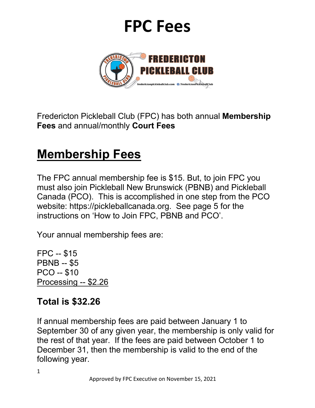

Fredericton Pickleball Club (FPC) has both annual **Membership Fees** and annual/monthly **Court Fees**

### **Membership Fees**

The FPC annual membership fee is \$15. But, to join FPC you must also join Pickleball New Brunswick (PBNB) and Pickleball Canada (PCO). This is accomplished in one step from the PCO website: https://pickleballcanada.org. See page 5 for the instructions on 'How to Join FPC, PBNB and PCO'.

Your annual membership fees are:

FPC -- \$15 PBNB -- \$5 PCO -- \$10 Processing -- \$2.26

#### **Total is \$32.26**

If annual membership fees are paid between January 1 to September 30 of any given year, the membership is only valid for the rest of that year. If the fees are paid between October 1 to December 31, then the membership is valid to the end of the following year.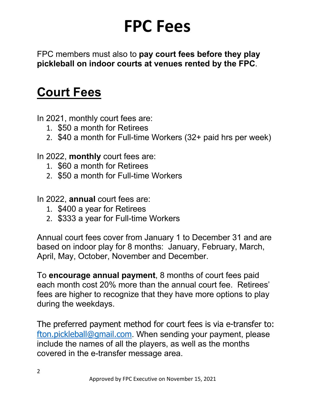FPC members must also to **pay court fees before they play pickleball on indoor courts at venues rented by the FPC**.

### **Court Fees**

In 2021, monthly court fees are:

- 1. \$50 a month for Retirees
- 2. \$40 a month for Full-time Workers (32+ paid hrs per week)

In 2022, **monthly** court fees are:

- 1. \$60 a month for Retirees
- 2. \$50 a month for Full-time Workers
- In 2022, **annual** court fees are:
	- 1. \$400 a year for Retirees
	- 2. \$333 a year for Full-time Workers

Annual court fees cover from January 1 to December 31 and are based on indoor play for 8 months: January, February, March, April, May, October, November and December.

To **encourage annual payment**, 8 months of court fees paid each month cost 20% more than the annual court fee. Retirees' fees are higher to recognize that they have more options to play during the weekdays.

The preferred payment method for court fees is via e-transfer to: fton.pickleball@gmail.com. When sending your payment, please include the names of all the players, as well as the months covered in the e-transfer message area.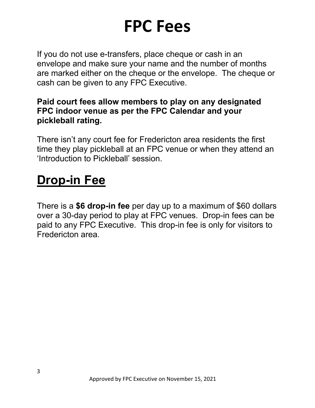If you do not use e-transfers, place cheque or cash in an envelope and make sure your name and the number of months are marked either on the cheque or the envelope. The cheque or cash can be given to any FPC Executive.

#### **Paid court fees allow members to play on any designated FPC indoor venue as per the FPC Calendar and your pickleball rating.**

There isn't any court fee for Fredericton area residents the first time they play pickleball at an FPC venue or when they attend an 'Introduction to Pickleball' session.

#### **Drop-in Fee**

There is a **\$6 drop-in fee** per day up to a maximum of \$60 dollars over a 30-day period to play at FPC venues. Drop-in fees can be paid to any FPC Executive. This drop-in fee is only for visitors to Fredericton area.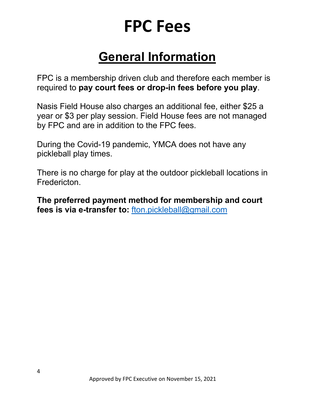### **General Information**

FPC is a membership driven club and therefore each member is required to **pay court fees or drop-in fees before you play**.

Nasis Field House also charges an additional fee, either \$25 a year or \$3 per play session. Field House fees are not managed by FPC and are in addition to the FPC fees.

During the Covid-19 pandemic, YMCA does not have any pickleball play times.

There is no charge for play at the outdoor pickleball locations in Fredericton.

**The preferred payment method for membership and court fees is via e-transfer to:** fton.pickleball@gmail.com